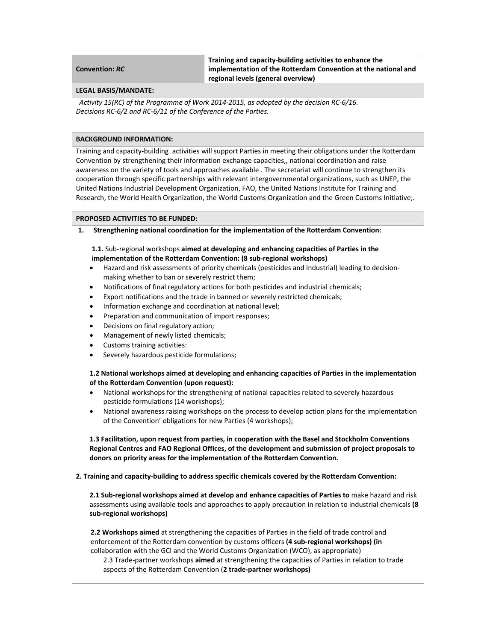| <b>Convention: RC</b> |
|-----------------------|
|-----------------------|

**Training and capacity‐building activities to enhance the implementation of the Rotterdam Convention at the national and regional levels (general overview)**

#### **LEGAL BASIS/MANDATE:**

 *Activity 15(RC) of the Programme of Work 2014‐2015, as adopted by the decision RC‐6/16. Decisions RC‐6/2 and RC‐6/11 of the Conference of the Parties.*

### **BACKGROUND INFORMATION:**

Training and capacity‐building activities will support Parties in meeting their obligations under the Rotterdam Convention by strengthening their information exchange capacities,, national coordination and raise awareness on the variety of tools and approaches available . The secretariat will continue to strengthen its cooperation through specific partnerships with relevant intergovernmental organizations, such as UNEP, the United Nations Industrial Development Organization, FAO, the United Nations Institute for Training and Research, the World Health Organization, the World Customs Organization and the Green Customs Initiative;.

### **PROPOSED ACTIVITIES TO BE FUNDED:**

**1. Strengthening national coordination for the implementation of the Rotterdam Convention:**

## **1.1.** Sub‐regional workshops **aimed at developing and enhancing capacities of Parties in the implementation of the Rotterdam Convention: (8 sub‐regional workshops)**

- Hazard and risk assessments of priority chemicals (pesticides and industrial) leading to decision‐ making whether to ban or severely restrict them;
- Notifications of final regulatory actions for both pesticides and industrial chemicals;
- Export notifications and the trade in banned or severely restricted chemicals;
- Information exchange and coordination at national level;
- Preparation and communication of import responses;
- Decisions on final regulatory action;
- Management of newly listed chemicals;
- Customs training activities:
- Severely hazardous pesticide formulations;

**1.2 National workshops aimed at developing and enhancing capacities of Parties in the implementation of the Rotterdam Convention (upon request):**

- National workshops for the strengthening of national capacities related to severely hazardous pesticide formulations (14 workshops);
- National awareness raising workshops on the process to develop action plans for the implementation of the Convention' obligations for new Parties (4 workshops);

**1.3 Facilitation, upon request from parties, in cooperation with the Basel and Stockholm Conventions Regional Centres and FAO Regional Offices, of the development and submission of project proposals to donors on priority areas for the implementation of the Rotterdam Convention.** 

### **2. Training and capacity‐building to address specific chemicals covered by the Rotterdam Convention:**

**2.1 Sub‐regional workshops aimed at develop and enhance capacities of Parties to** make hazard and risk assessments using available tools and approaches to apply precaution in relation to industrial chemicals **(8 sub‐regional workshops)**

**2.2 Workshops aimed** at strengthening the capacities of Parties in the field of trade control and enforcement of the Rotterdam convention by customs officers **(4 sub‐regional workshops) (in** collaboration with the GCI and the World Customs Organization (WCO), as appropriate)

2.3 Trade‐partner workshops **aimed** at strengthening the capacities of Parties in relation to trade aspects of the Rotterdam Convention (**2 trade‐partner workshops)**